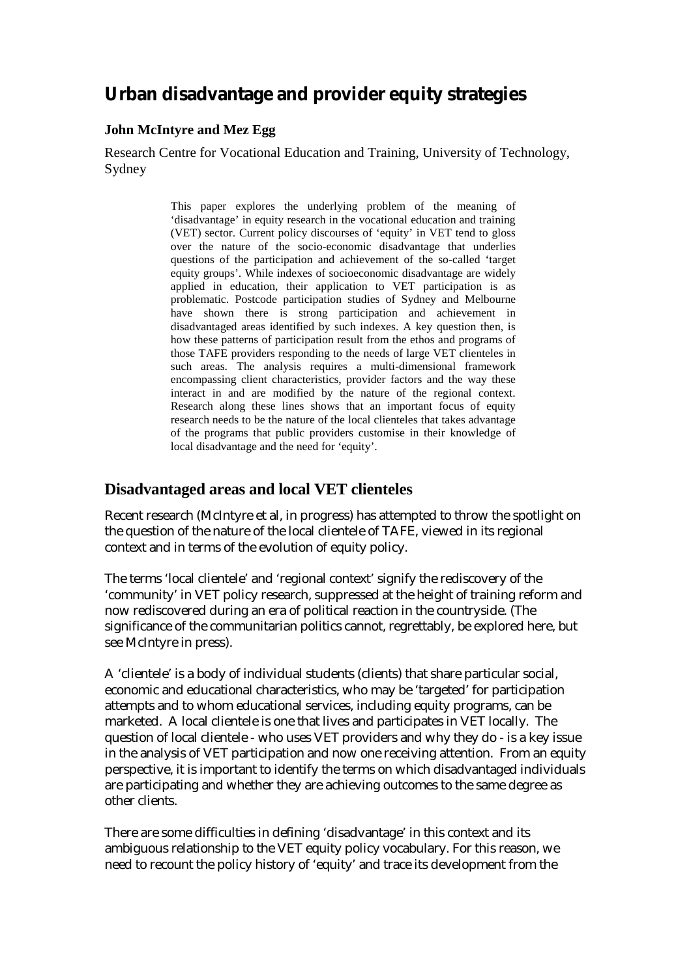# **Urban disadvantage and provider equity strategies**

#### **John McIntyre and Mez Egg**

Research Centre for Vocational Education and Training, University of Technology, Sydney

> This paper explores the underlying problem of the meaning of 'disadvantage' in equity research in the vocational education and training (VET) sector. Current policy discourses of 'equity' in VET tend to gloss over the nature of the socio-economic disadvantage that underlies questions of the participation and achievement of the so-called 'target equity groups'. While indexes of socioeconomic disadvantage are widely applied in education, their application to VET participation is as problematic. Postcode participation studies of Sydney and Melbourne have shown there is strong participation and achievement in disadvantaged areas identified by such indexes. A key question then, is how these patterns of participation result from the ethos and programs of those TAFE providers responding to the needs of large VET clienteles in such areas. The analysis requires a multi-dimensional framework encompassing client characteristics, provider factors and the way these interact in and are modified by the nature of the regional context. Research along these lines shows that an important focus of equity research needs to be the nature of the local clienteles that takes advantage of the programs that public providers customise in their knowledge of local disadvantage and the need for 'equity'.

## **Disadvantaged areas and local VET clienteles**

Recent research (McIntyre et al, in progress) has attempted to throw the spotlight on the question of the nature of the local clientele of TAFE, viewed in its regional context and in terms of the evolution of equity policy.

The terms 'local clientele' and 'regional context' signify the rediscovery of the 'community' in VET policy research, suppressed at the height of training reform and now rediscovered during an era of political reaction in the countryside. (The significance of the communitarian politics cannot, regrettably, be explored here, but see McIntyre in press).

A 'clientele' is a body of individual students (clients) that share particular social, economic and educational characteristics, who may be 'targeted' for participation attempts and to whom educational services, including equity programs, can be marketed. A local clientele is one that lives and participates in VET locally. The question of local clientele - who uses VET providers and why they do - is a key issue in the analysis of VET participation and now one receiving attention. From an equity perspective, it is important to identify the terms on which disadvantaged individuals are participating and whether they are achieving outcomes to the same degree as other clients.

There are some difficulties in defining 'disadvantage' in this context and its ambiguous relationship to the VET equity policy vocabulary. For this reason, we need to recount the policy history of 'equity' and trace its development from the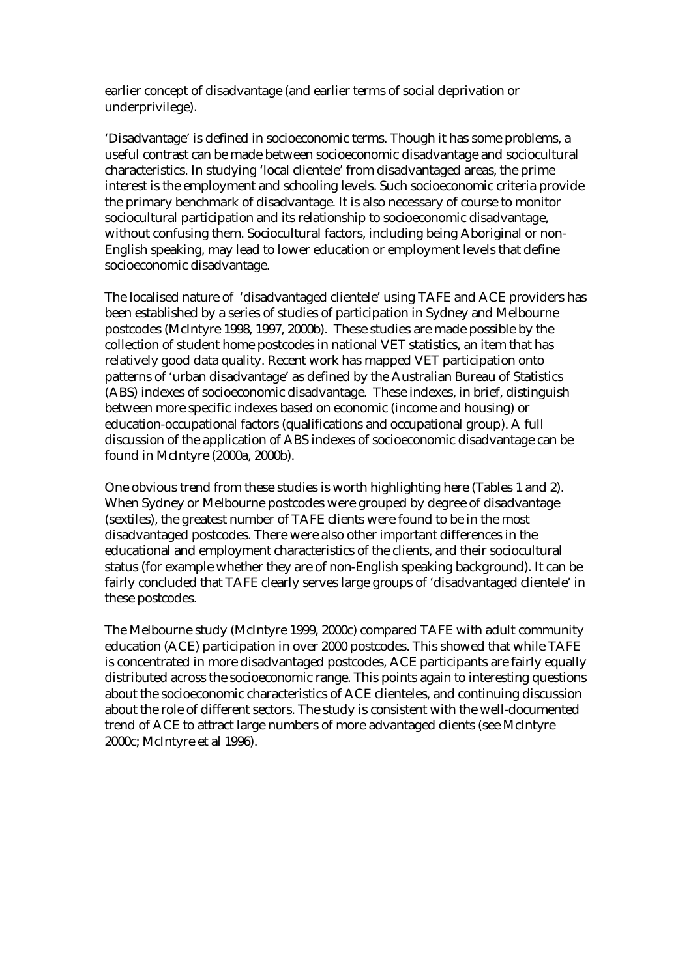earlier concept of disadvantage (and earlier terms of social deprivation or underprivilege).

'Disadvantage' is defined in socioeconomic terms. Though it has some problems, a useful contrast can be made between socioeconomic disadvantage and sociocultural characteristics. In studying 'local clientele' from disadvantaged areas, the prime interest is the employment and schooling levels. Such socioeconomic criteria provide the primary benchmark of disadvantage. It is also necessary of course to monitor sociocultural participation and its relationship to socioeconomic disadvantage, without confusing them. Sociocultural factors, including being Aboriginal or non-English speaking, may lead to lower education or employment levels that define socioeconomic disadvantage.

The localised nature of 'disadvantaged clientele' using TAFE and ACE providers has been established by a series of studies of participation in Sydney and Melbourne postcodes (McIntyre 1998, 1997, 2000b). These studies are made possible by the collection of student home postcodes in national VET statistics, an item that has relatively good data quality. Recent work has mapped VET participation onto patterns of 'urban disadvantage' as defined by the Australian Bureau of Statistics (ABS) indexes of socioeconomic disadvantage. These indexes, in brief, distinguish between more specific indexes based on economic (income and housing) or education-occupational factors (qualifications and occupational group). A full discussion of the application of ABS indexes of socioeconomic disadvantage can be found in McIntyre (2000a, 2000b).

One obvious trend from these studies is worth highlighting here (Tables 1 and 2). When Sydney or Melbourne postcodes were grouped by degree of disadvantage (sextiles), the greatest number of TAFE clients were found to be in the most disadvantaged postcodes. There were also other important differences in the educational and employment characteristics of the clients, and their sociocultural status (for example whether they are of non-English speaking background). It can be fairly concluded that TAFE clearly serves large groups of 'disadvantaged clientele' in these postcodes.

The Melbourne study (McIntyre 1999, 2000c) compared TAFE with adult community education (ACE) participation in over 2000 postcodes. This showed that while TAFE is concentrated in more disadvantaged postcodes, ACE participants are fairly equally distributed across the socioeconomic range. This points again to interesting questions about the socioeconomic characteristics of ACE clienteles, and continuing discussion about the role of different sectors. The study is consistent with the well-documented trend of ACE to attract large numbers of more advantaged clients (see McIntyre 2000c; McIntyre et al 1996).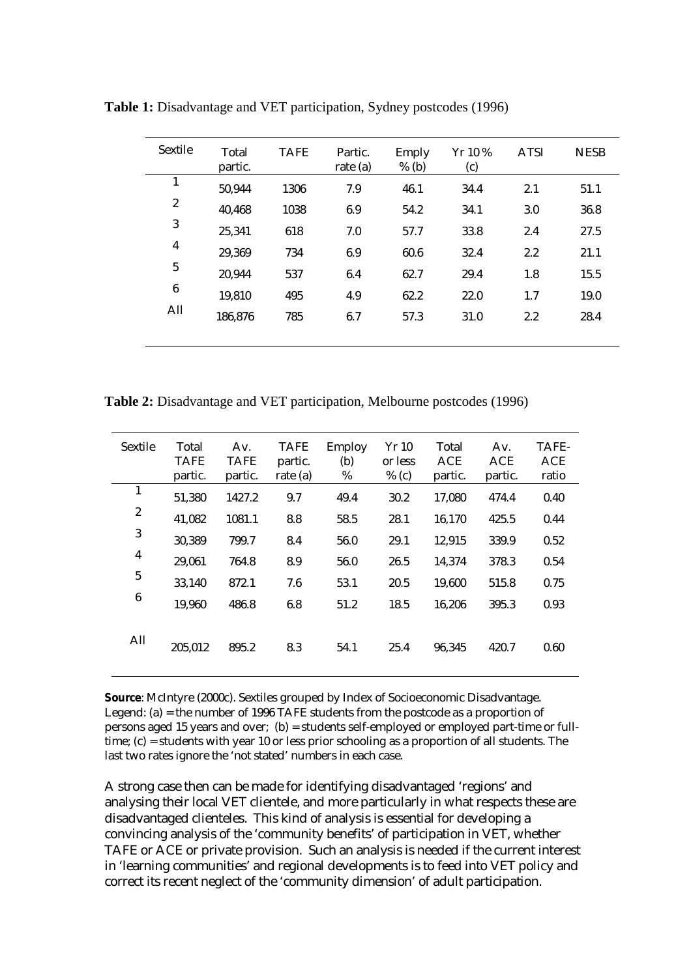| Sextile          | Total<br>partic. | <b>TAFE</b> | Partic.<br>rate $(a)$ | Emply<br>$%$ (b) | Yr 10 %<br>(c) | <b>ATSI</b> | <b>NESB</b> |
|------------------|------------------|-------------|-----------------------|------------------|----------------|-------------|-------------|
| 1                | 50,944           | 1306        | 7.9                   | 46.1             | 34.4           | 2.1         | 51.1        |
| $\boldsymbol{2}$ | 40,468           | 1038        | 6.9                   | 54.2             | 34.1           | 3.0         | 36.8        |
| $\mathbf{3}$     | 25,341           | 618         | 7.0                   | 57.7             | 33.8           | 2.4         | 27.5        |
| $\boldsymbol{4}$ | 29,369           | 734         | 6.9                   | 60.6             | 32.4           | 2.2         | 21.1        |
| $\bf 5$          | 20,944           | 537         | 6.4                   | 62.7             | 29.4           | 1.8         | 15.5        |
| $\bf 6$          | 19,810           | 495         | 4.9                   | 62.2             | 22.0           | 1.7         | 19.0        |
| All              | 186,876          | 785         | 6.7                   | 57.3             | 31.0           | 2.2         | 28.4        |
|                  |                  |             |                       |                  |                |             |             |

**Table 1:** Disadvantage and VET participation, Sydney postcodes (1996)

**Table 2:** Disadvantage and VET participation, Melbourne postcodes (1996)

| Sextile          | Total<br><b>TAFE</b><br>partic. | Av.<br><b>TAFE</b><br>partic. | <b>TAFE</b><br>partic.<br>rate $(a)$ | <b>Employ</b><br>(b)<br>$\%$ | Yr 10<br>or less<br>$%$ (c) | Total<br><b>ACE</b><br>partic. | Av.<br><b>ACE</b><br>partic. | TAFE-<br>ACE<br>ratio |
|------------------|---------------------------------|-------------------------------|--------------------------------------|------------------------------|-----------------------------|--------------------------------|------------------------------|-----------------------|
| $\mathbf{1}$     | 51,380                          | 1427.2                        | 9.7                                  | 49.4                         | 30.2                        | 17,080                         | 474.4                        | 0.40                  |
| $\boldsymbol{2}$ | 41,082                          | 1081.1                        | 8.8                                  | 58.5                         | 28.1                        | 16,170                         | 425.5                        | 0.44                  |
| 3                | 30,389                          | 799.7                         | 8.4                                  | 56.0                         | 29.1                        | 12,915                         | 339.9                        | 0.52                  |
| $\boldsymbol{4}$ | 29,061                          | 764.8                         | 8.9                                  | 56.0                         | 26.5                        | 14,374                         | 378.3                        | 0.54                  |
| $\overline{5}$   | 33,140                          | 872.1                         | 7.6                                  | 53.1                         | 20.5                        | 19,600                         | 515.8                        | 0.75                  |
| $\boldsymbol{6}$ | 19,960                          | 486.8                         | 6.8                                  | 51.2                         | 18.5                        | 16,206                         | 395.3                        | 0.93                  |
| All              | 205,012                         | 895.2                         | 8.3                                  | 54.1                         | 25.4                        | 96,345                         | 420.7                        | 0.60                  |

**Source**: McIntyre (2000c). Sextiles grouped by Index of Socioeconomic Disadvantage. Legend: (a) = the number of 1996 TAFE students from the postcode as a proportion of persons aged 15 years and over; (b) = students self-employed or employed part-time or fulltime; (c) = students with year 10 or less prior schooling as a proportion of all students. The last two rates ignore the 'not stated' numbers in each case.

A strong case then can be made for identifying disadvantaged 'regions' and analysing their local VET clientele, and more particularly in what respects these are disadvantaged clienteles. This kind of analysis is essential for developing a convincing analysis of the 'community benefits' of participation in VET, whether TAFE or ACE or private provision. Such an analysis is needed if the current interest in 'learning communities' and regional developments is to feed into VET policy and correct its recent neglect of the 'community dimension' of adult participation.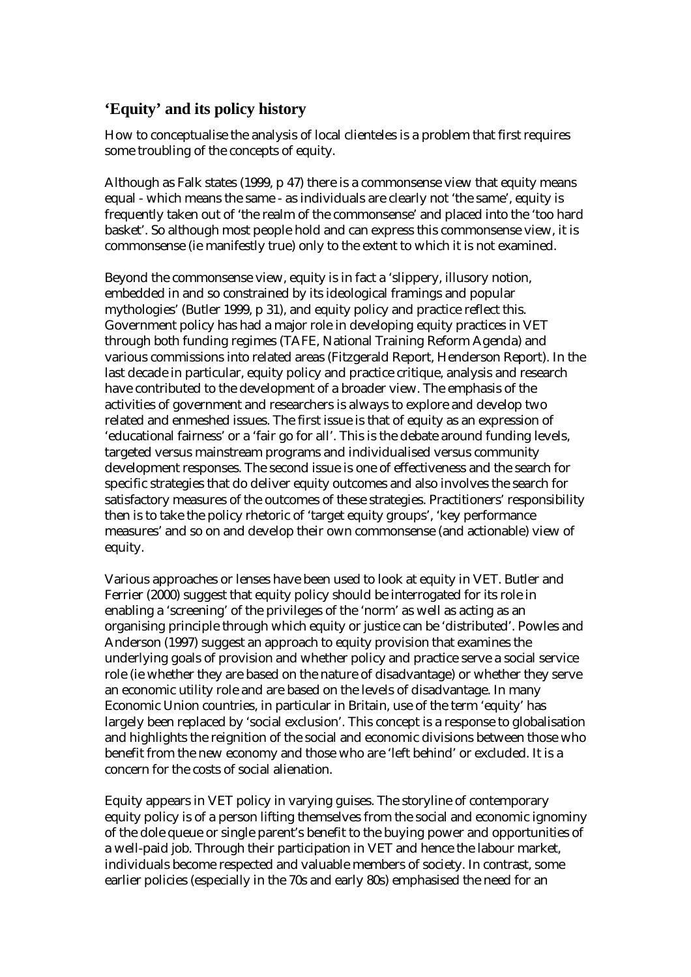# **'Equity' and its policy history**

How to conceptualise the analysis of local clienteles is a problem that first requires some troubling of the concepts of equity.

Although as Falk states (1999, p 47) there is a commonsense view that equity means equal - which means the same - as individuals are clearly not 'the same', equity is frequently taken out of 'the realm of the commonsense' and placed into the 'too hard basket'. So although most people hold and can express this commonsense view, it is commonsense (ie manifestly true) only to the extent to which it is not examined.

Beyond the commonsense view, equity is in fact a 'slippery, illusory notion, embedded in and so constrained by its ideological framings and popular mythologies' (Butler 1999, p 31), and equity policy and practice reflect this. Government policy has had a major role in developing equity practices in VET through both funding regimes (TAFE, National Training Reform Agenda) and various commissions into related areas (Fitzgerald Report, Henderson Report). In the last decade in particular, equity policy and practice critique, analysis and research have contributed to the development of a broader view. The emphasis of the activities of government and researchers is always to explore and develop two related and enmeshed issues. The first issue is that of equity as an expression of 'educational fairness' or a 'fair go for all'. This is the debate around funding levels, targeted versus mainstream programs and individualised versus community development responses. The second issue is one of effectiveness and the search for specific strategies that do deliver equity outcomes and also involves the search for satisfactory measures of the outcomes of these strategies. Practitioners' responsibility then is to take the policy rhetoric of 'target equity groups', 'key performance measures' and so on and develop their own commonsense (and actionable) view of equity.

Various approaches or lenses have been used to look at equity in VET. Butler and Ferrier (2000) suggest that equity policy should be interrogated for its role in enabling a 'screening' of the privileges of the 'norm' as well as acting as an organising principle through which equity or justice can be 'distributed'. Powles and Anderson (1997) suggest an approach to equity provision that examines the underlying goals of provision and whether policy and practice serve a social service role (ie whether they are based on the nature of disadvantage) or whether they serve an economic utility role and are based on the levels of disadvantage. In many Economic Union countries, in particular in Britain, use of the term 'equity' has largely been replaced by 'social exclusion'. This concept is a response to globalisation and highlights the reignition of the social and economic divisions between those who benefit from the new economy and those who are 'left behind' or excluded. It is a concern for the costs of social alienation.

Equity appears in VET policy in varying guises. The storyline of contemporary equity policy is of a person lifting themselves from the social and economic ignominy of the dole queue or single parent's benefit to the buying power and opportunities of a well-paid job. Through their participation in VET and hence the labour market, individuals become respected and valuable members of society. In contrast, some earlier policies (especially in the 70s and early 80s) emphasised the need for an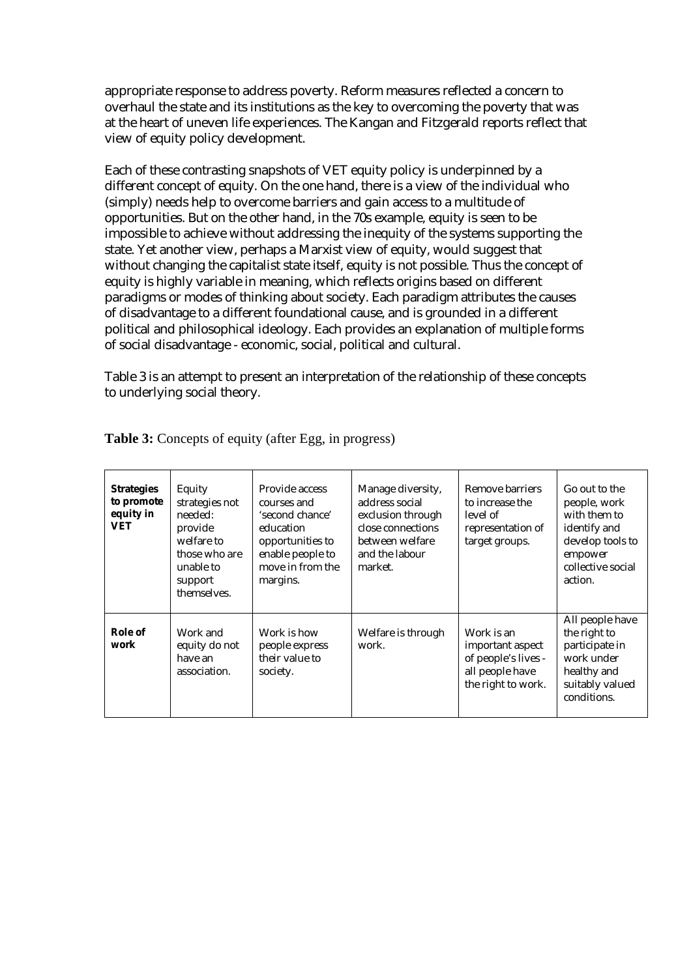appropriate response to address poverty. Reform measures reflected a concern to overhaul the state and its institutions as the key to overcoming the poverty that was at the heart of uneven life experiences. The Kangan and Fitzgerald reports reflect that view of equity policy development.

Each of these contrasting snapshots of VET equity policy is underpinned by a different concept of equity. On the one hand, there is a view of the individual who (simply) needs help to overcome barriers and gain access to a multitude of opportunities. But on the other hand, in the 70s example, equity is seen to be impossible to achieve without addressing the inequity of the systems supporting the state. Yet another view, perhaps a Marxist view of equity, would suggest that without changing the capitalist state itself, equity is not possible. Thus the concept of equity is highly variable in meaning, which reflects origins based on different paradigms or modes of thinking about society. Each paradigm attributes the causes of disadvantage to a different foundational cause, and is grounded in a different political and philosophical ideology. Each provides an explanation of multiple forms of social disadvantage - economic, social, political and cultural.

Table 3 is an attempt to present an interpretation of the relationship of these concepts to underlying social theory.

| <b>Strategies</b><br>to promote<br>equity in<br>VET | Equity<br>strategies not<br>needed:<br>provide<br>welfare to<br>those who are<br>unable to<br>support<br>themselves. | Provide access<br>courses and<br>'second chance'<br>education<br>opportunities to<br>enable people to<br>move in from the<br>margins. | Manage diversity,<br>address social<br>exclusion through<br>close connections<br>between welfare<br>and the labour<br>market. | Remove barriers<br>to increase the<br>level of<br>representation of<br>target groups.          | Go out to the<br>people, work<br>with them to<br>identify and<br>develop tools to<br>empower<br>collective social<br>action. |
|-----------------------------------------------------|----------------------------------------------------------------------------------------------------------------------|---------------------------------------------------------------------------------------------------------------------------------------|-------------------------------------------------------------------------------------------------------------------------------|------------------------------------------------------------------------------------------------|------------------------------------------------------------------------------------------------------------------------------|
| Role of<br>work                                     | Work and<br>equity do not<br>have an<br>association.                                                                 | Work is how<br>people express<br>their value to<br>society.                                                                           | Welfare is through<br>work.                                                                                                   | Work is an<br>important aspect<br>of people's lives -<br>all people have<br>the right to work. | All people have<br>the right to<br>participate in<br>work under<br>healthy and<br>suitably valued<br>conditions.             |

**Table 3:** Concepts of equity (after Egg, in progress)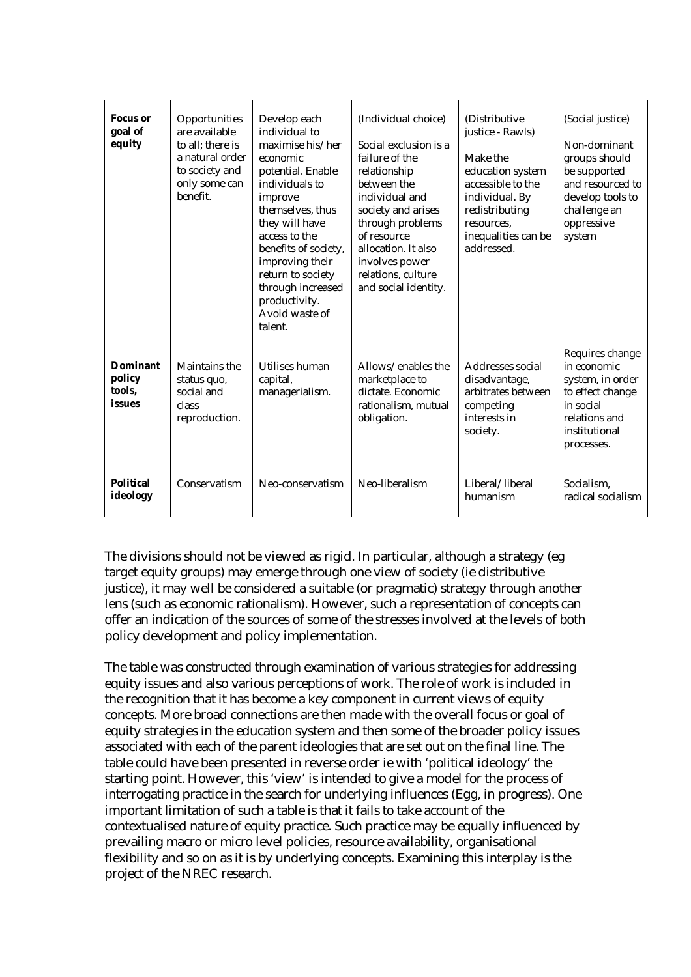| <b>Focus</b> or<br>goal of<br>equity          | Opportunities<br>are available<br>to all; there is<br>a natural order<br>to society and<br>only some can<br>benefit. | Develop each<br>individual to<br>maximise his/her<br>economic<br>potential. Enable<br>individuals to<br>improve<br>themselves, thus<br>they will have<br>access to the<br>benefits of society,<br>improving their<br>return to society<br>through increased<br>productivity.<br>Avoid waste of<br>talent. | (Individual choice)<br>Social exclusion is a<br>failure of the<br>relationship<br>between the<br>individual and<br>society and arises<br>through problems<br>of resource<br>allocation. It also<br>involves power<br>relations, culture<br>and social identity. | (Distributive)<br>justice - Rawls)<br>Make the<br>education system<br>accessible to the<br>individual. By<br>redistributing<br>resources.<br>inequalities can be<br>addressed. | (Social justice)<br>Non-dominant<br>groups should<br>be supported<br>and resourced to<br>develop tools to<br>challenge an<br>oppressive<br>system |
|-----------------------------------------------|----------------------------------------------------------------------------------------------------------------------|-----------------------------------------------------------------------------------------------------------------------------------------------------------------------------------------------------------------------------------------------------------------------------------------------------------|-----------------------------------------------------------------------------------------------------------------------------------------------------------------------------------------------------------------------------------------------------------------|--------------------------------------------------------------------------------------------------------------------------------------------------------------------------------|---------------------------------------------------------------------------------------------------------------------------------------------------|
| <b>Dominant</b><br>policy<br>tools,<br>issues | Maintains the<br>status quo,<br>social and<br>class<br>reproduction.                                                 | Utilises human<br>capital,<br>managerialism.                                                                                                                                                                                                                                                              | Allows/enables the<br>marketplace to<br>dictate. Economic<br>rationalism, mutual<br>obligation.                                                                                                                                                                 | Addresses social<br>disadvantage,<br>arbitrates between<br>competing<br>interests in<br>society.                                                                               | Requires change<br>in economic<br>system, in order<br>to effect change<br>in social<br>relations and<br>institutional<br>processes.               |
| Political<br>ideology                         | Conservatism                                                                                                         | Neo-conservatism                                                                                                                                                                                                                                                                                          | Neo-liberalism                                                                                                                                                                                                                                                  | Liberal/liberal<br>humanism                                                                                                                                                    | Socialism,<br>radical socialism                                                                                                                   |

The divisions should not be viewed as rigid. In particular, although a strategy (eg target equity groups) may emerge through one view of society (ie distributive justice), it may well be considered a suitable (or pragmatic) strategy through another lens (such as economic rationalism). However, such a representation of concepts can offer an indication of the sources of some of the stresses involved at the levels of both policy development and policy implementation.

The table was constructed through examination of various strategies for addressing equity issues and also various perceptions of work. The role of work is included in the recognition that it has become a key component in current views of equity concepts. More broad connections are then made with the overall focus or goal of equity strategies in the education system and then some of the broader policy issues associated with each of the parent ideologies that are set out on the final line. The table could have been presented in reverse order ie with 'political ideology' the starting point. However, this 'view' is intended to give a model for the process of interrogating practice in the search for underlying influences (Egg, in progress). One important limitation of such a table is that it fails to take account of the contextualised nature of equity practice. Such practice may be equally influenced by prevailing macro or micro level policies, resource availability, organisational flexibility and so on as it is by underlying concepts. Examining this interplay is the project of the NREC research.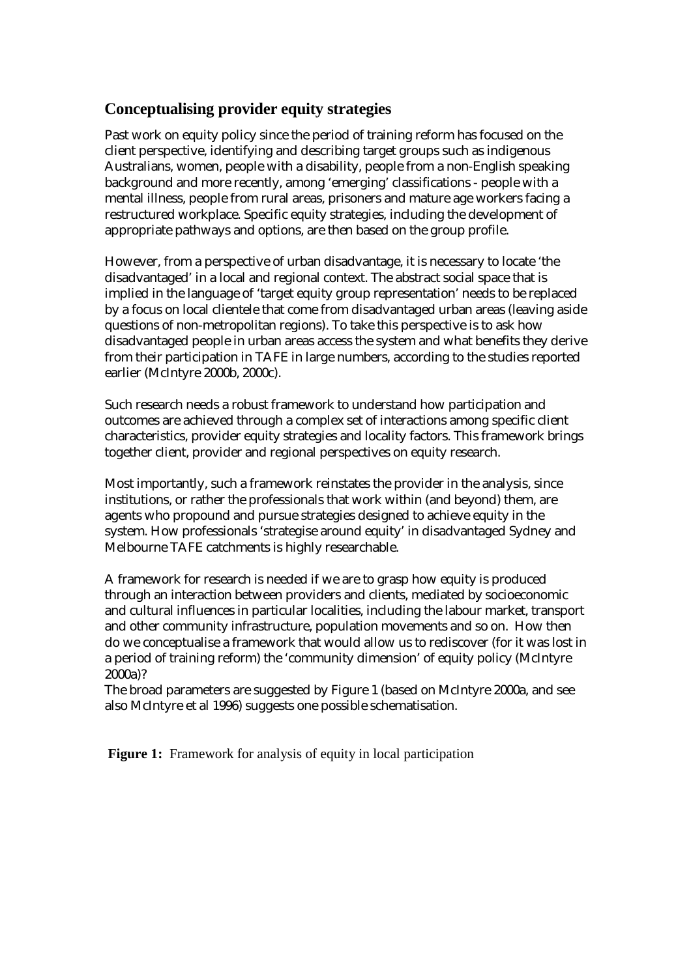## **Conceptualising provider equity strategies**

Past work on equity policy since the period of training reform has focused on the client perspective, identifying and describing target groups such as indigenous Australians, women, people with a disability, people from a non-English speaking background and more recently, among 'emerging' classifications - people with a mental illness, people from rural areas, prisoners and mature age workers facing a restructured workplace. Specific equity strategies, including the development of appropriate pathways and options, are then based on the group profile.

However, from a perspective of urban disadvantage, it is necessary to locate 'the disadvantaged' in a local and regional context. The abstract social space that is implied in the language of 'target equity group representation' needs to be replaced by a focus on local clientele that come from disadvantaged urban areas (leaving aside questions of non-metropolitan regions). To take this perspective is to ask how disadvantaged people in urban areas access the system and what benefits they derive from their participation in TAFE in large numbers, according to the studies reported earlier (McIntyre 2000b, 2000c).

Such research needs a robust framework to understand how participation and outcomes are achieved through a complex set of interactions among specific client characteristics, provider equity strategies and locality factors. This framework brings together client, provider and regional perspectives on equity research.

Most importantly, such a framework reinstates the provider in the analysis, since institutions, or rather the professionals that work within (and beyond) them, are agents who propound and pursue strategies designed to achieve equity in the system. How professionals 'strategise around equity' in disadvantaged Sydney and Melbourne TAFE catchments is highly researchable.

A framework for research is needed if we are to grasp how equity is produced through an interaction between providers and clients, mediated by socioeconomic and cultural influences in particular localities, including the labour market, transport and other community infrastructure, population movements and so on. How then do we conceptualise a framework that would allow us to rediscover (for it was lost in a period of training reform) the 'community dimension' of equity policy (McIntyre 2000a)?

The broad parameters are suggested by Figure 1 (based on McIntyre 2000a, and see also McIntyre et al 1996) suggests one possible schematisation.

**Figure 1:** Framework for analysis of equity in local participation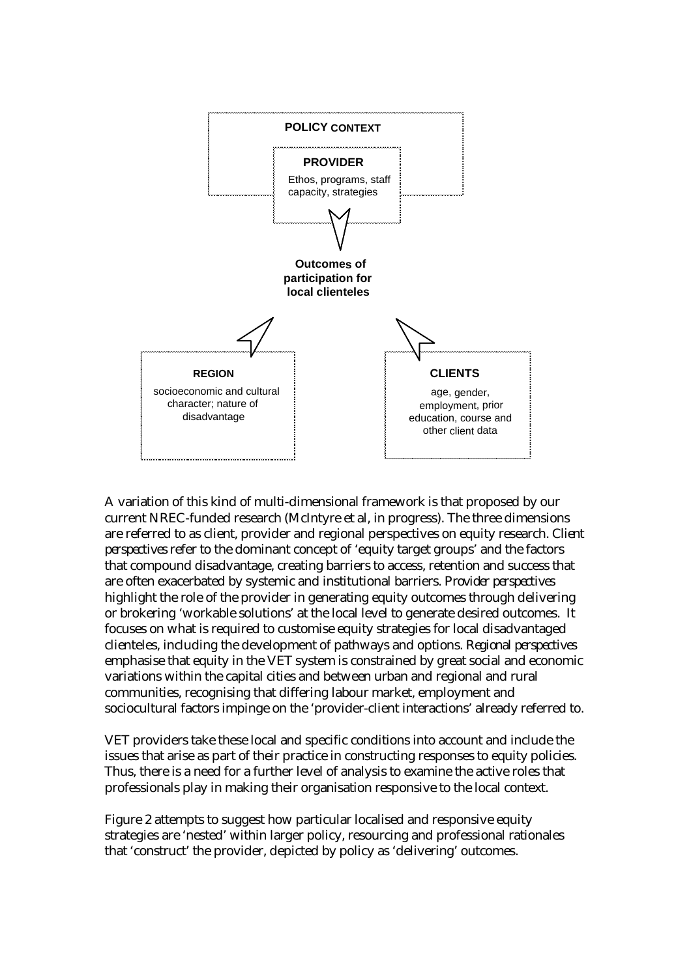

A variation of this kind of multi-dimensional framework is that proposed by our current NREC-funded research (McIntyre et al, in progress). The three dimensions are referred to as client, provider and regional perspectives on equity research. *Client perspectives* refer to the dominant concept of 'equity target groups' and the factors that compound disadvantage, creating barriers to access, retention and success that are often exacerbated by systemic and institutional barriers. *Provider perspectives* highlight the role of the provider in generating equity outcomes through delivering or brokering 'workable solutions' at the local level to generate desired outcomes. It focuses on what is required to customise equity strategies for local disadvantaged clienteles, including the development of pathways and options. *Regional perspectives* emphasise that equity in the VET system is constrained by great social and economic variations within the capital cities and between urban and regional and rural communities, recognising that differing labour market, employment and sociocultural factors impinge on the 'provider-client interactions' already referred to.

VET providers take these local and specific conditions into account and include the issues that arise as part of their practice in constructing responses to equity policies. Thus, there is a need for a further level of analysis to examine the active roles that professionals play in making their organisation responsive to the local context.

Figure 2 attempts to suggest how particular localised and responsive equity strategies are 'nested' within larger policy, resourcing and professional rationales that 'construct' the provider, depicted by policy as 'delivering' outcomes.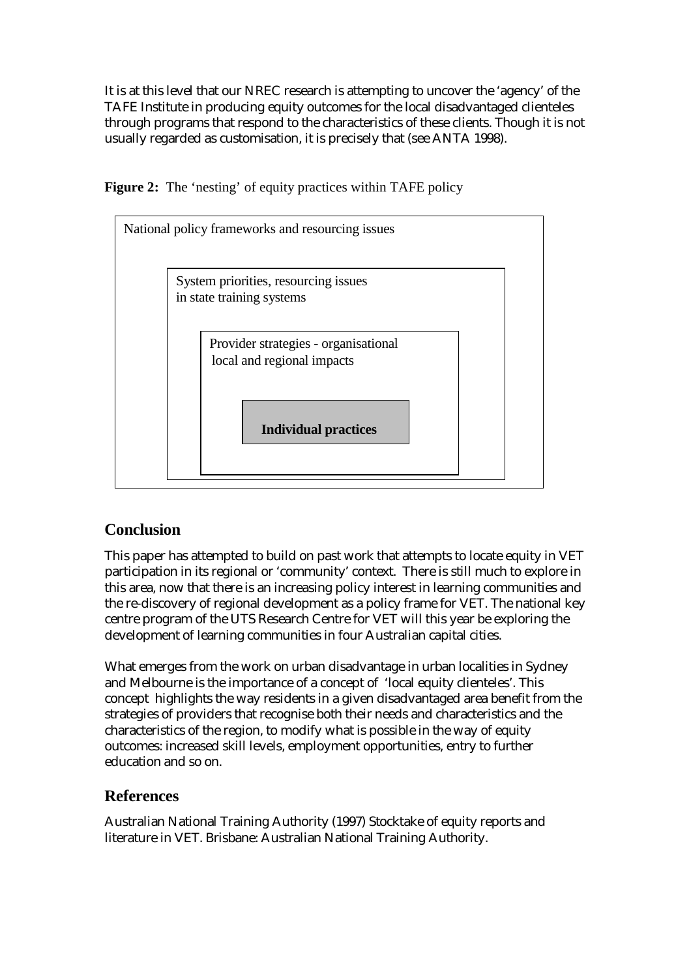It is at this level that our NREC research is attempting to uncover the 'agency' of the TAFE Institute in producing equity outcomes for the local disadvantaged clienteles through programs that respond to the characteristics of these clients. Though it is not usually regarded as customisation, it is precisely that (see ANTA 1998).

**Figure 2:** The 'nesting' of equity practices within TAFE policy



# **Conclusion**

This paper has attempted to build on past work that attempts to locate equity in VET participation in its regional or 'community' context. There is still much to explore in this area, now that there is an increasing policy interest in learning communities and the re-discovery of regional development as a policy frame for VET. The national key centre program of the UTS Research Centre for VET will this year be exploring the development of learning communities in four Australian capital cities.

What emerges from the work on urban disadvantage in urban localities in Sydney and Melbourne is the importance of a concept of 'local equity clienteles'. This concept highlights the way residents in a given disadvantaged area benefit from the strategies of providers that recognise both their needs and characteristics and the characteristics of the region, to modify what is possible in the way of equity outcomes: increased skill levels, employment opportunities, entry to further education and so on.

# **References**

Australian National Training Authority (1997) Stocktake of equity reports and literature in VET. Brisbane: Australian National Training Authority.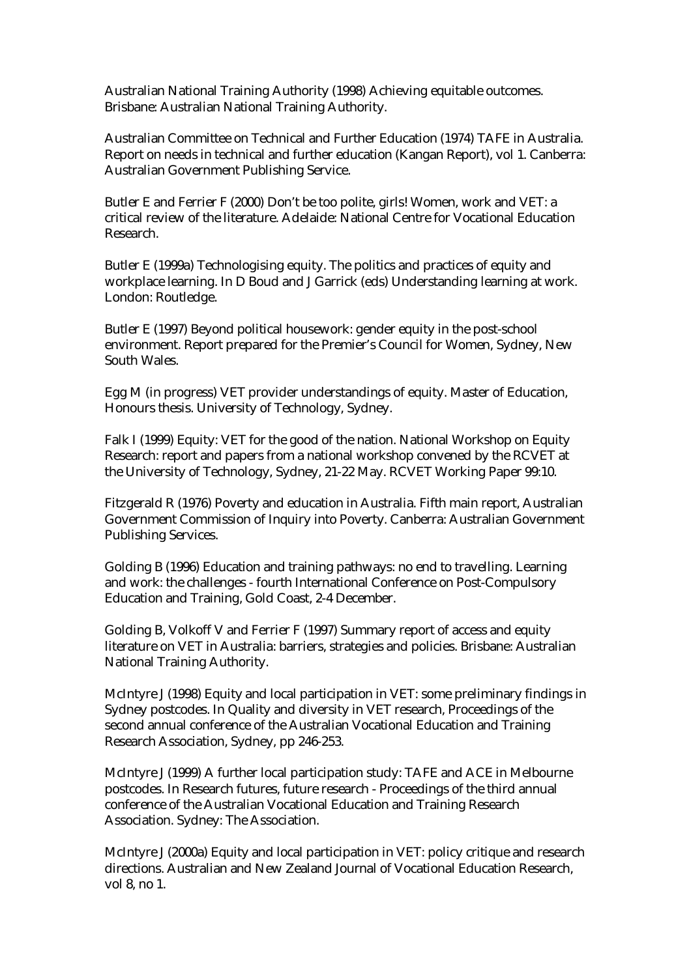Australian National Training Authority (1998) Achieving equitable outcomes. Brisbane: Australian National Training Authority.

Australian Committee on Technical and Further Education (1974) TAFE in Australia. Report on needs in technical and further education (Kangan Report), vol 1. Canberra: Australian Government Publishing Service.

Butler E and Ferrier F (2000) Don't be too polite, girls! Women, work and VET: a critical review of the literature. Adelaide: National Centre for Vocational Education Research.

Butler E (1999a) Technologising equity. The politics and practices of equity and workplace learning. In D Boud and J Garrick (eds) Understanding learning at work. London: Routledge.

Butler E (1997) Beyond political housework: gender equity in the post-school environment. Report prepared for the Premier's Council for Women, Sydney, New South Wales.

Egg M (in progress) VET provider understandings of equity. Master of Education, Honours thesis. University of Technology, Sydney.

Falk I (1999) Equity: VET for the good of the nation. National Workshop on Equity Research: report and papers from a national workshop convened by the RCVET at the University of Technology, Sydney, 21-22 May. RCVET Working Paper 99:10.

Fitzgerald R (1976) Poverty and education in Australia. Fifth main report, Australian Government Commission of Inquiry into Poverty. Canberra: Australian Government Publishing Services.

Golding B (1996) Education and training pathways: no end to travelling. Learning and work: the challenges - fourth International Conference on Post-Compulsory Education and Training, Gold Coast, 2-4 December.

Golding B, Volkoff V and Ferrier F (1997) Summary report of access and equity literature on VET in Australia: barriers, strategies and policies. Brisbane: Australian National Training Authority.

McIntyre J (1998) Equity and local participation in VET: some preliminary findings in Sydney postcodes. In Quality and diversity in VET research, Proceedings of the second annual conference of the Australian Vocational Education and Training Research Association, Sydney, pp 246-253.

McIntyre J (1999) A further local participation study: TAFE and ACE in Melbourne postcodes. In Research futures, future research - Proceedings of the third annual conference of the Australian Vocational Education and Training Research Association. Sydney: The Association.

McIntyre J (2000a) Equity and local participation in VET: policy critique and research directions. Australian and New Zealand Journal of Vocational Education Research, vol 8, no 1.